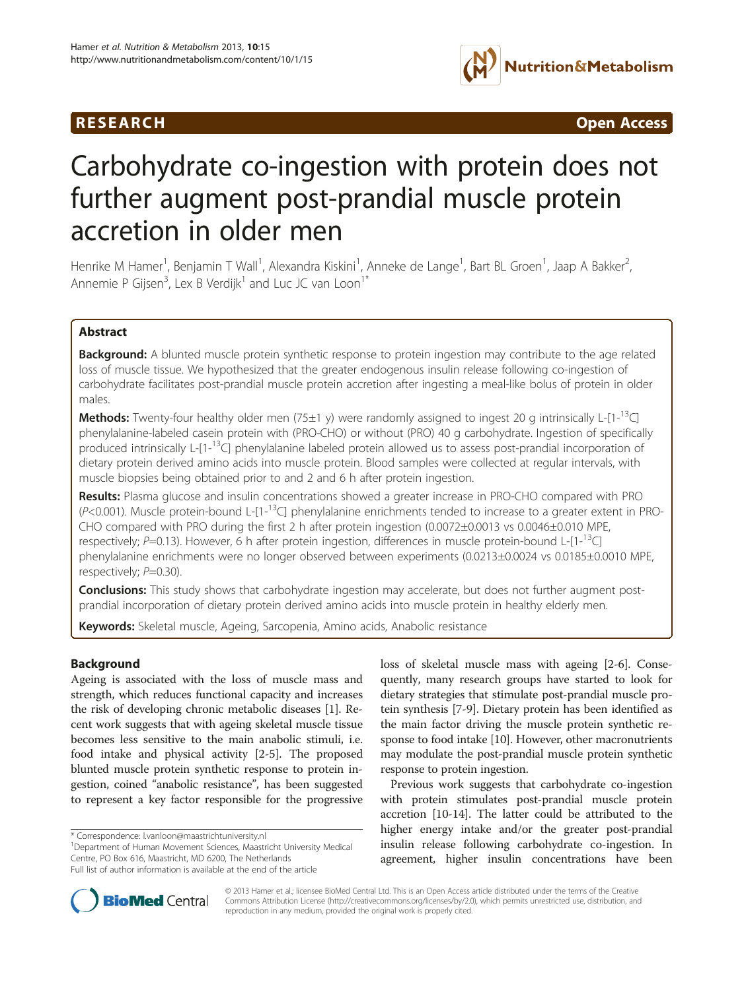## **RESEARCH CHINESE ARCH CHINESE ARCH CHINESE ARCH**



# Carbohydrate co-ingestion with protein does not further augment post-prandial muscle protein accretion in older men

Henrike M Hamer<sup>1</sup>, Benjamin T Wall<sup>1</sup>, Alexandra Kiskini<sup>1</sup>, Anneke de Lange<sup>1</sup>, Bart BL Groen<sup>1</sup>, Jaap A Bakker<sup>2</sup> , Annemie P Gijsen $^3$ , Lex B Verdijk $^1$  and Luc JC van Loon $^1{}^*$ 

## Abstract

Background: A blunted muscle protein synthetic response to protein ingestion may contribute to the age related loss of muscle tissue. We hypothesized that the greater endogenous insulin release following co-ingestion of carbohydrate facilitates post-prandial muscle protein accretion after ingesting a meal-like bolus of protein in older males.

**Methods:** Twenty-four healthy older men (75±1 y) were randomly assigned to ingest 20 g intrinsically L-[1-<sup>13</sup>C] phenylalanine-labeled casein protein with (PRO-CHO) or without (PRO) 40 g carbohydrate. Ingestion of specifically produced intrinsically L-[1-<sup>13</sup>C] phenylalanine labeled protein allowed us to assess post-prandial incorporation of dietary protein derived amino acids into muscle protein. Blood samples were collected at regular intervals, with muscle biopsies being obtained prior to and 2 and 6 h after protein ingestion.

Results: Plasma glucose and insulin concentrations showed a greater increase in PRO-CHO compared with PRO  $(P<0.001)$ . Muscle protein-bound L-[1-<sup>13</sup>C] phenylalanine enrichments tended to increase to a greater extent in PRO-CHO compared with PRO during the first 2 h after protein ingestion (0.0072±0.0013 vs 0.0046±0.010 MPE, respectively; P=0.13). However, 6 h after protein ingestion, differences in muscle protein-bound L- $[1$ -<sup>13</sup>C] phenylalanine enrichments were no longer observed between experiments (0.0213±0.0024 vs 0.0185±0.0010 MPE, respectively;  $P=0.30$ ).

**Conclusions:** This study shows that carbohydrate ingestion may accelerate, but does not further augment postprandial incorporation of dietary protein derived amino acids into muscle protein in healthy elderly men.

Keywords: Skeletal muscle, Ageing, Sarcopenia, Amino acids, Anabolic resistance

## Background

Ageing is associated with the loss of muscle mass and strength, which reduces functional capacity and increases the risk of developing chronic metabolic diseases [\[1](#page-7-0)]. Recent work suggests that with ageing skeletal muscle tissue becomes less sensitive to the main anabolic stimuli, i.e. food intake and physical activity [\[2](#page-7-0)-[5](#page-7-0)]. The proposed blunted muscle protein synthetic response to protein ingestion, coined "anabolic resistance", has been suggested to represent a key factor responsible for the progressive

<sup>1</sup>Department of Human Movement Sciences, Maastricht University Medical Centre, PO Box 616, Maastricht, MD 6200, The Netherlands Full list of author information is available at the end of the article

loss of skeletal muscle mass with ageing [[2-6\]](#page-7-0). Consequently, many research groups have started to look for dietary strategies that stimulate post-prandial muscle protein synthesis [\[7-9](#page-7-0)]. Dietary protein has been identified as the main factor driving the muscle protein synthetic response to food intake [[10](#page-7-0)]. However, other macronutrients may modulate the post-prandial muscle protein synthetic response to protein ingestion.

Previous work suggests that carbohydrate co-ingestion with protein stimulates post-prandial muscle protein accretion [\[10-14](#page-7-0)]. The latter could be attributed to the higher energy intake and/or the greater post-prandial insulin release following carbohydrate co-ingestion. In agreement, higher insulin concentrations have been



© 2013 Hamer et al.; licensee BioMed Central Ltd. This is an Open Access article distributed under the terms of the Creative Commons Attribution License [\(http://creativecommons.org/licenses/by/2.0\)](http://creativecommons.org/licenses/by/2.0), which permits unrestricted use, distribution, and reproduction in any medium, provided the original work is properly cited.

<sup>\*</sup> Correspondence: [l.vanloon@maastrichtuniversity.nl](mailto:l.vanloon@maastrichtuniversity.nl) <sup>1</sup>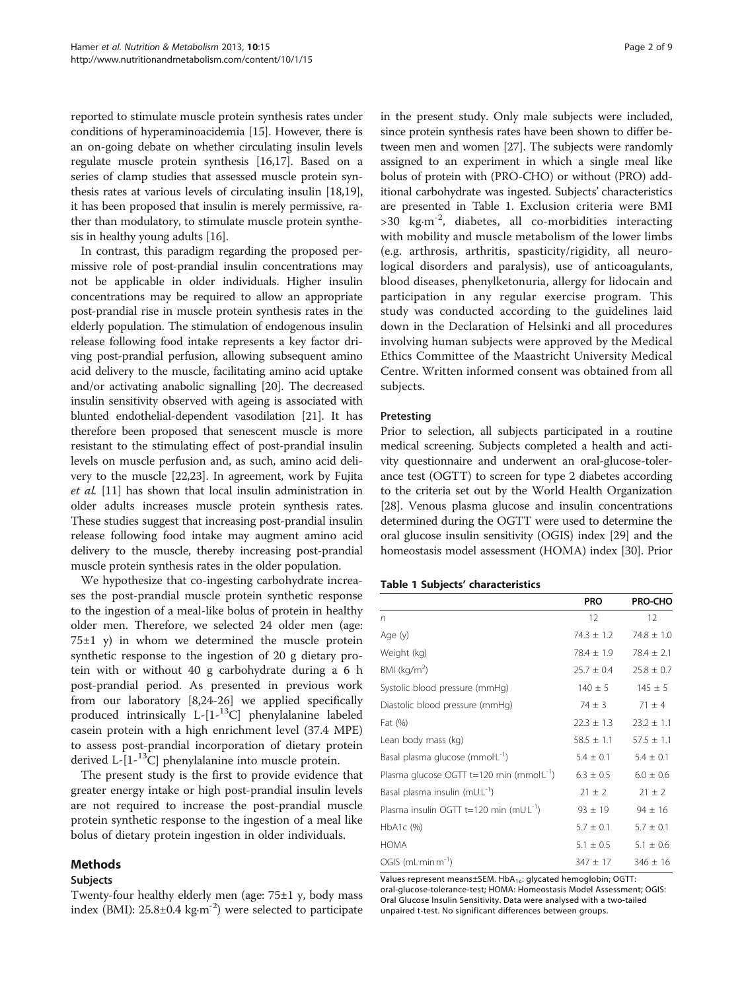reported to stimulate muscle protein synthesis rates under conditions of hyperaminoacidemia [\[15\]](#page-7-0). However, there is an on-going debate on whether circulating insulin levels regulate muscle protein synthesis [\[16,17](#page-7-0)]. Based on a series of clamp studies that assessed muscle protein synthesis rates at various levels of circulating insulin [\[18,19](#page-7-0)], it has been proposed that insulin is merely permissive, rather than modulatory, to stimulate muscle protein synthesis in healthy young adults [\[16\]](#page-7-0).

In contrast, this paradigm regarding the proposed permissive role of post-prandial insulin concentrations may not be applicable in older individuals. Higher insulin concentrations may be required to allow an appropriate post-prandial rise in muscle protein synthesis rates in the elderly population. The stimulation of endogenous insulin release following food intake represents a key factor driving post-prandial perfusion, allowing subsequent amino acid delivery to the muscle, facilitating amino acid uptake and/or activating anabolic signalling [\[20\]](#page-7-0). The decreased insulin sensitivity observed with ageing is associated with blunted endothelial-dependent vasodilation [[21](#page-7-0)]. It has therefore been proposed that senescent muscle is more resistant to the stimulating effect of post-prandial insulin levels on muscle perfusion and, as such, amino acid delivery to the muscle [\[22,23\]](#page-7-0). In agreement, work by Fujita et al. [\[11](#page-7-0)] has shown that local insulin administration in older adults increases muscle protein synthesis rates. These studies suggest that increasing post-prandial insulin release following food intake may augment amino acid delivery to the muscle, thereby increasing post-prandial muscle protein synthesis rates in the older population.

We hypothesize that co-ingesting carbohydrate increases the post-prandial muscle protein synthetic response to the ingestion of a meal-like bolus of protein in healthy older men. Therefore, we selected 24 older men (age:  $75±1$  y) in whom we determined the muscle protein synthetic response to the ingestion of 20 g dietary protein with or without 40 g carbohydrate during a 6 h post-prandial period. As presented in previous work from our laboratory [[8,24-](#page-7-0)[26](#page-8-0)] we applied specifically produced intrinsically L-[1-13C] phenylalanine labeled casein protein with a high enrichment level (37.4 MPE) to assess post-prandial incorporation of dietary protein derived  $L-[1-^{13}C]$  phenylalanine into muscle protein.

The present study is the first to provide evidence that greater energy intake or high post-prandial insulin levels are not required to increase the post-prandial muscle protein synthetic response to the ingestion of a meal like bolus of dietary protein ingestion in older individuals.

## Methods

#### Subjects

Twenty-four healthy elderly men (age: 75±1 y, body mass index (BMI):  $25.8\pm0.4$  kg⋅m<sup>-2</sup>) were selected to participate in the present study. Only male subjects were included, since protein synthesis rates have been shown to differ between men and women [\[27\]](#page-8-0). The subjects were randomly assigned to an experiment in which a single meal like bolus of protein with (PRO-CHO) or without (PRO) additional carbohydrate was ingested. Subjects' characteristics are presented in Table 1. Exclusion criteria were BMI >30 kg∙m-2, diabetes, all co-morbidities interacting with mobility and muscle metabolism of the lower limbs (e.g. arthrosis, arthritis, spasticity/rigidity, all neurological disorders and paralysis), use of anticoagulants, blood diseases, phenylketonuria, allergy for lidocain and participation in any regular exercise program. This study was conducted according to the guidelines laid down in the Declaration of Helsinki and all procedures involving human subjects were approved by the Medical Ethics Committee of the Maastricht University Medical Centre. Written informed consent was obtained from all subjects.

#### Pretesting

Prior to selection, all subjects participated in a routine medical screening. Subjects completed a health and activity questionnaire and underwent an oral-glucose-tolerance test (OGTT) to screen for type 2 diabetes according to the criteria set out by the World Health Organization [[28](#page-8-0)]. Venous plasma glucose and insulin concentrations determined during the OGTT were used to determine the oral glucose insulin sensitivity (OGIS) index [\[29\]](#page-8-0) and the homeostasis model assessment (HOMA) index [\[30](#page-8-0)]. Prior

#### Table 1 Subjects' characteristics

|                                                    | <b>PRO</b>     | PRO-CHO        |
|----------------------------------------------------|----------------|----------------|
| n                                                  | 12             | 12             |
| Age (y)                                            | $74.3 \pm 1.2$ | $74.8 \pm 1.0$ |
| Weight (kg)                                        | $78.4 \pm 1.9$ | $78.4 \pm 2.1$ |
| BMI ( $kg/m2$ )                                    | $25.7 \pm 0.4$ | $25.8 \pm 0.7$ |
| Systolic blood pressure (mmHg)                     | $140 \pm 5$    | $145 \pm 5$    |
| Diastolic blood pressure (mmHg)                    | $74 \pm 3$     | $71 \pm 4$     |
| Fat (%)                                            | $22.3 \pm 1.3$ | $23.2 \pm 1.1$ |
| Lean body mass (kg)                                | $58.5 \pm 1.1$ | $57.5 \pm 1.1$ |
| Basal plasma glucose (mmol:L <sup>-1</sup> )       | $5.4 \pm 0.1$  | $5.4 \pm 0.1$  |
| Plasma glucose OGTT $t=120$ min (mmol $L^{-1}$ )   | $6.3 \pm 0.5$  | $6.0 \pm 0.6$  |
| Basal plasma insulin (mUL-1)                       | $21 \pm 2$     | $21 \pm 2$     |
| Plasma insulin OGTT t=120 min (mUL <sup>-1</sup> ) | $93 \pm 19$    | $94 \pm 16$    |
| HbA1c (%)                                          | $5.7 \pm 0.1$  | $5.7 \pm 0.1$  |
| <b>HOMA</b>                                        | $5.1 \pm 0.5$  | $5.1 \pm 0.6$  |
| $OGIS$ (mL $min-1$ )                               | $347 \pm 17$   | $346 \pm 16$   |

Values represent means±SEM. HbA<sub>1c</sub>: glycated hemoglobin; OGTT: oral-glucose-tolerance-test; HOMA: Homeostasis Model Assessment; OGIS: Oral Glucose Insulin Sensitivity. Data were analysed with a two-tailed unpaired t-test. No significant differences between groups.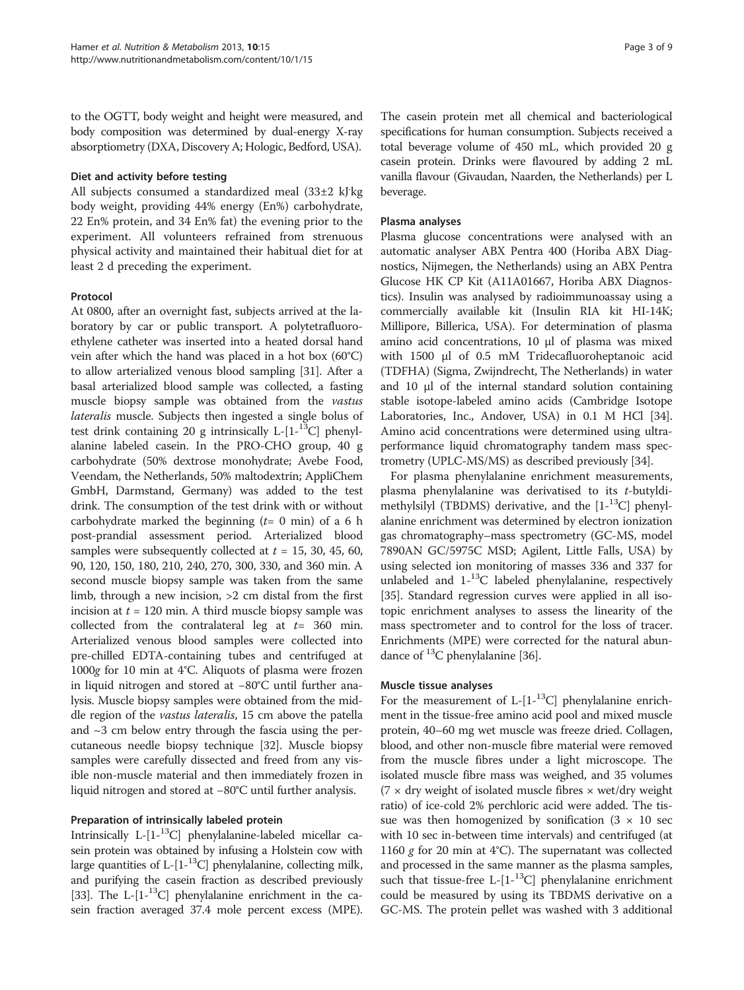to the OGTT, body weight and height were measured, and body composition was determined by dual-energy X-ray absorptiometry (DXA, Discovery A; Hologic, Bedford, USA).

#### Diet and activity before testing

All subjects consumed a standardized meal (33±2 kJ kg body weight, providing 44% energy (En%) carbohydrate, 22 En% protein, and 34 En% fat) the evening prior to the experiment. All volunteers refrained from strenuous physical activity and maintained their habitual diet for at least 2 d preceding the experiment.

## Protocol

At 0800, after an overnight fast, subjects arrived at the laboratory by car or public transport. A polytetrafluoroethylene catheter was inserted into a heated dorsal hand vein after which the hand was placed in a hot box (60°C) to allow arterialized venous blood sampling [\[31\]](#page-8-0). After a basal arterialized blood sample was collected, a fasting muscle biopsy sample was obtained from the vastus lateralis muscle. Subjects then ingested a single bolus of test drink containing 20 g intrinsically L- $[1 -$ <sup>13</sup>C] phenylalanine labeled casein. In the PRO-CHO group, 40 g carbohydrate (50% dextrose monohydrate; Avebe Food, Veendam, the Netherlands, 50% maltodextrin; AppliChem GmbH, Darmstand, Germany) was added to the test drink. The consumption of the test drink with or without carbohydrate marked the beginning  $(t= 0 \text{ min})$  of a 6 h post-prandial assessment period. Arterialized blood samples were subsequently collected at  $t = 15, 30, 45, 60,$ 90, 120, 150, 180, 210, 240, 270, 300, 330, and 360 min. A second muscle biopsy sample was taken from the same limb, through a new incision, >2 cm distal from the first incision at  $t = 120$  min. A third muscle biopsy sample was collected from the contralateral leg at  $t=$  360 min. Arterialized venous blood samples were collected into pre-chilled EDTA-containing tubes and centrifuged at <sup>1000</sup>g for 10 min at 4°C. Aliquots of plasma were frozen in liquid nitrogen and stored at −80°C until further analysis. Muscle biopsy samples were obtained from the middle region of the vastus lateralis, 15 cm above the patella and  $\sim$ 3 cm below entry through the fascia using the percutaneous needle biopsy technique [\[32\]](#page-8-0). Muscle biopsy samples were carefully dissected and freed from any visible non-muscle material and then immediately frozen in liquid nitrogen and stored at −80°C until further analysis.

## Preparation of intrinsically labeled protein

Intrinsically L- $[1^{-13}C]$  phenylalanine-labeled micellar casein protein was obtained by infusing a Holstein cow with large quantities of  $L-[1^{-13}C]$  phenylalanine, collecting milk, and purifying the casein fraction as described previously [[33](#page-8-0)]. The L- $[1^{-13}C]$  phenylalanine enrichment in the casein fraction averaged 37.4 mole percent excess (MPE).

The casein protein met all chemical and bacteriological specifications for human consumption. Subjects received a total beverage volume of 450 mL, which provided 20 g casein protein. Drinks were flavoured by adding 2 mL vanilla flavour (Givaudan, Naarden, the Netherlands) per L beverage.

#### Plasma analyses

Plasma glucose concentrations were analysed with an automatic analyser ABX Pentra 400 (Horiba ABX Diagnostics, Nijmegen, the Netherlands) using an ABX Pentra Glucose HK CP Kit (A11A01667, Horiba ABX Diagnostics). Insulin was analysed by radioimmunoassay using a commercially available kit (Insulin RIA kit HI-14K; Millipore, Billerica, USA). For determination of plasma amino acid concentrations, 10 μl of plasma was mixed with 1500 μl of 0.5 mM Tridecafluoroheptanoic acid (TDFHA) (Sigma, Zwijndrecht, The Netherlands) in water and 10 μl of the internal standard solution containing stable isotope-labeled amino acids (Cambridge Isotope Laboratories, Inc., Andover, USA) in 0.1 M HCl [[34](#page-8-0)]. Amino acid concentrations were determined using ultraperformance liquid chromatography tandem mass spectrometry (UPLC-MS/MS) as described previously [\[34](#page-8-0)].

For plasma phenylalanine enrichment measurements, plasma phenylalanine was derivatised to its  $t$ -butyldimethylsilyl (TBDMS) derivative, and the  $[1-13C]$  phenylalanine enrichment was determined by electron ionization gas chromatography–mass spectrometry (GC-MS, model 7890AN GC/5975C MSD; Agilent, Little Falls, USA) by using selected ion monitoring of masses 336 and 337 for unlabeled and  $1<sup>-13</sup>C$  labeled phenylalanine, respectively [[35](#page-8-0)]. Standard regression curves were applied in all isotopic enrichment analyses to assess the linearity of the mass spectrometer and to control for the loss of tracer. Enrichments (MPE) were corrected for the natural abundance of  ${}^{13}C$  phenylalanine [[36](#page-8-0)].

#### Muscle tissue analyses

For the measurement of  $L-[1-^{13}C]$  phenylalanine enrichment in the tissue-free amino acid pool and mixed muscle protein, 40–60 mg wet muscle was freeze dried. Collagen, blood, and other non-muscle fibre material were removed from the muscle fibres under a light microscope. The isolated muscle fibre mass was weighed, and 35 volumes  $(7 \times$  dry weight of isolated muscle fibres  $\times$  wet/dry weight ratio) of ice-cold 2% perchloric acid were added. The tissue was then homogenized by sonification  $(3 \times 10 \text{ sec})$ with 10 sec in-between time intervals) and centrifuged (at 1160 g for 20 min at 4°C). The supernatant was collected and processed in the same manner as the plasma samples, such that tissue-free L- $[1 -$ <sup>13</sup>C] phenylalanine enrichment could be measured by using its TBDMS derivative on a GC-MS. The protein pellet was washed with 3 additional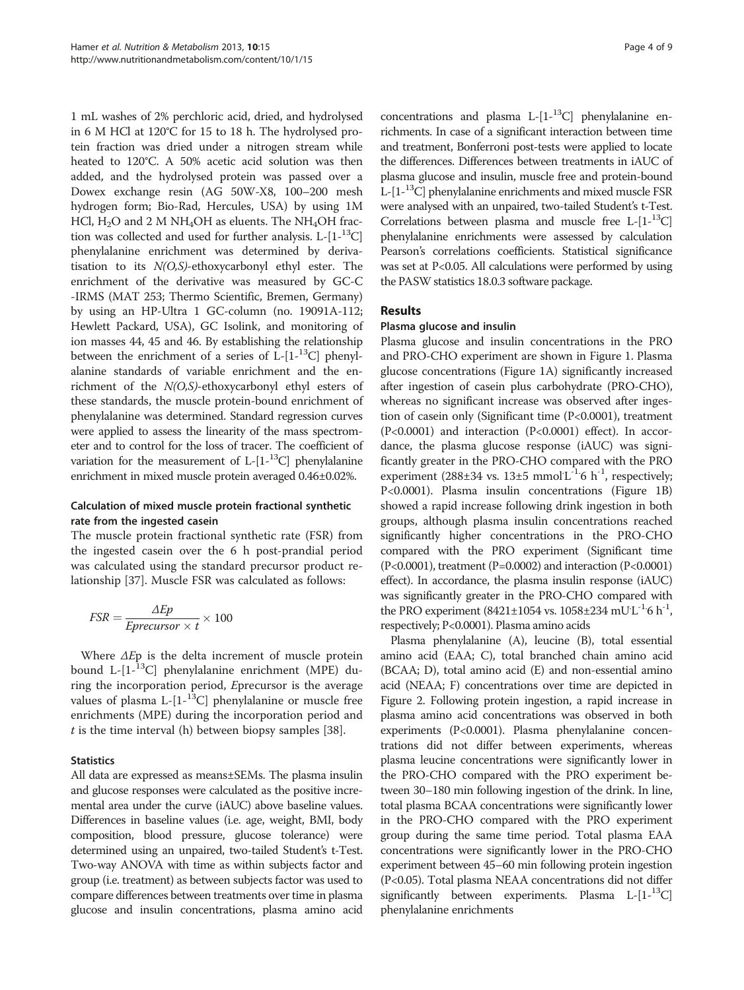1 mL washes of 2% perchloric acid, dried, and hydrolysed in 6 M HCl at 120°C for 15 to 18 h. The hydrolysed protein fraction was dried under a nitrogen stream while heated to 120°C. A 50% acetic acid solution was then added, and the hydrolysed protein was passed over a Dowex exchange resin (AG 50W-X8, 100–200 mesh hydrogen form; Bio-Rad, Hercules, USA) by using 1M HCl,  $H_2O$  and 2 M NH<sub>4</sub>OH as eluents. The NH<sub>4</sub>OH fraction was collected and used for further analysis.  $L-[1-13C]$ phenylalanine enrichment was determined by derivatisation to its  $N(0, S)$ -ethoxycarbonyl ethyl ester. The enrichment of the derivative was measured by GC-C -IRMS (MAT 253; Thermo Scientific, Bremen, Germany) by using an HP-Ultra 1 GC-column (no. 19091A-112; Hewlett Packard, USA), GC Isolink, and monitoring of ion masses 44, 45 and 46. By establishing the relationship between the enrichment of a series of L- $[1^{-13}C]$  phenylalanine standards of variable enrichment and the enrichment of the N(O,S)-ethoxycarbonyl ethyl esters of these standards, the muscle protein-bound enrichment of phenylalanine was determined. Standard regression curves were applied to assess the linearity of the mass spectrometer and to control for the loss of tracer. The coefficient of variation for the measurement of  $L-[1-^{13}C]$  phenylalanine enrichment in mixed muscle protein averaged 0.46±0.02%.

## Calculation of mixed muscle protein fractional synthetic rate from the ingested casein

The muscle protein fractional synthetic rate (FSR) from the ingested casein over the 6 h post-prandial period was calculated using the standard precursor product relationship [[37\]](#page-8-0). Muscle FSR was calculated as follows:

$$
FSR = \frac{\Delta Ep}{Eprecursor \times t} \times 100
$$

Where  $\Delta E$ p is the delta increment of muscle protein bound L- $[1 - {}^{13}C]$  phenylalanine enrichment (MPE) during the incorporation period, Eprecursor is the average values of plasma  $L-[1-^{13}C]$  phenylalanine or muscle free enrichments (MPE) during the incorporation period and  $t$  is the time interval (h) between biopsy samples [[38\]](#page-8-0).

## **Statistics**

All data are expressed as means±SEMs. The plasma insulin and glucose responses were calculated as the positive incremental area under the curve (iAUC) above baseline values. Differences in baseline values (i.e. age, weight, BMI, body composition, blood pressure, glucose tolerance) were determined using an unpaired, two-tailed Student's t-Test. Two-way ANOVA with time as within subjects factor and group (i.e. treatment) as between subjects factor was used to compare differences between treatments over time in plasma glucose and insulin concentrations, plasma amino acid

concentrations and plasma L- $[1-13C]$  phenylalanine enrichments. In case of a significant interaction between time and treatment, Bonferroni post-tests were applied to locate the differences. Differences between treatments in iAUC of plasma glucose and insulin, muscle free and protein-bound L- $[1-13C]$  phenylalanine enrichments and mixed muscle FSR were analysed with an unpaired, two-tailed Student's t-Test. Correlations between plasma and muscle free L- $[1$ - $^{13}$ C] phenylalanine enrichments were assessed by calculation Pearson's correlations coefficients. Statistical significance was set at P<0.05. All calculations were performed by using the PASW statistics 18.0.3 software package.

## Results

## Plasma glucose and insulin

Plasma glucose and insulin concentrations in the PRO and PRO-CHO experiment are shown in Figure [1](#page-4-0). Plasma glucose concentrations (Figure [1A](#page-4-0)) significantly increased after ingestion of casein plus carbohydrate (PRO-CHO), whereas no significant increase was observed after ingestion of casein only (Significant time (P<0.0001), treatment (P<0.0001) and interaction (P<0.0001) effect). In accordance, the plasma glucose response (iAUC) was significantly greater in the PRO-CHO compared with the PRO experiment (288±34 vs.  $13±5$  mmol L<sup>-1.</sup>6 h<sup>-1</sup>, respectively; P<0.0001). Plasma insulin concentrations (Figure [1B](#page-4-0)) showed a rapid increase following drink ingestion in both groups, although plasma insulin concentrations reached significantly higher concentrations in the PRO-CHO compared with the PRO experiment (Significant time (P<0.0001), treatment (P=0.0002) and interaction (P<0.0001) effect). In accordance, the plasma insulin response (iAUC) was significantly greater in the PRO-CHO compared with the PRO experiment (8421±1054 vs. 1058±234 mUL<sup>-1.</sup>6 h<sup>-1</sup>, respectively; P<0.0001). Plasma amino acids

Plasma phenylalanine (A), leucine (B), total essential amino acid (EAA; C), total branched chain amino acid (BCAA; D), total amino acid (E) and non-essential amino acid (NEAA; F) concentrations over time are depicted in Figure [2](#page-5-0). Following protein ingestion, a rapid increase in plasma amino acid concentrations was observed in both experiments (P<0.0001). Plasma phenylalanine concentrations did not differ between experiments, whereas plasma leucine concentrations were significantly lower in the PRO-CHO compared with the PRO experiment between 30–180 min following ingestion of the drink. In line, total plasma BCAA concentrations were significantly lower in the PRO-CHO compared with the PRO experiment group during the same time period. Total plasma EAA concentrations were significantly lower in the PRO-CHO experiment between 45–60 min following protein ingestion (P<0.05). Total plasma NEAA concentrations did not differ significantly between experiments. Plasma  $L-[1-^{13}C]$ phenylalanine enrichments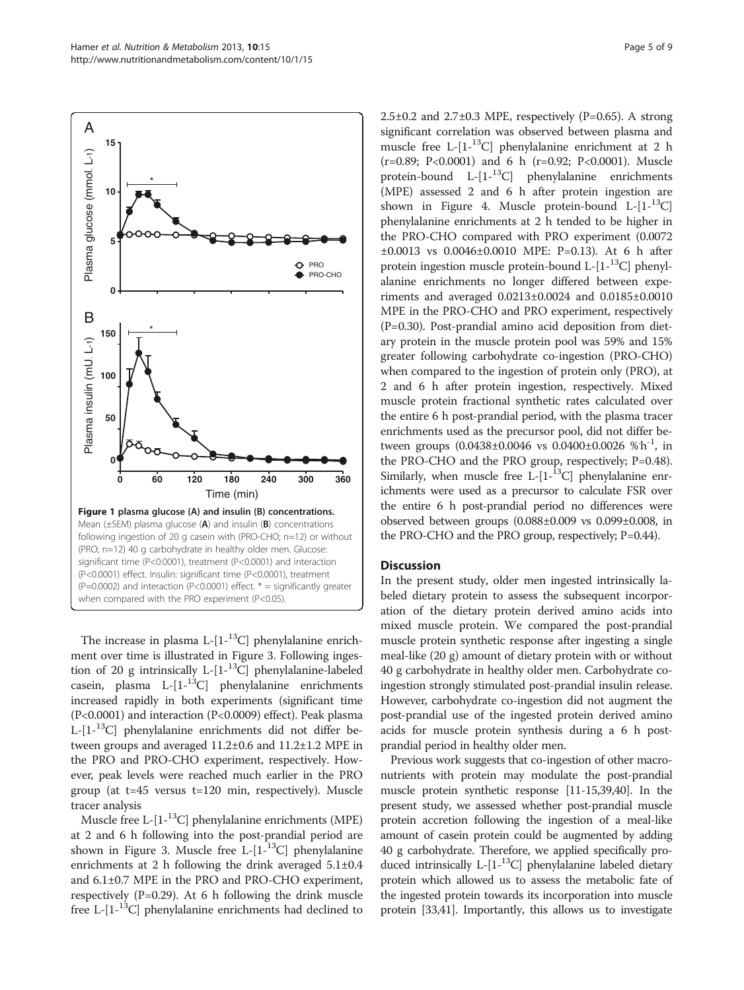<span id="page-4-0"></span>

The increase in plasma L- $[1-13C]$  phenylalanine enrichment over time is illustrated in Figure [3.](#page-6-0) Following ingestion of 20 g intrinsically L- $[1^{-13}C]$  phenylalanine-labeled casein, plasma L- $[1-1^3C]$  phenylalanine enrichments increased rapidly in both experiments (significant time (P<0.0001) and interaction (P<0.0009) effect). Peak plasma L-[1-13C] phenylalanine enrichments did not differ between groups and averaged 11.2±0.6 and 11.2±1.2 MPE in the PRO and PRO-CHO experiment, respectively. However, peak levels were reached much earlier in the PRO group (at t=45 versus t=120 min, respectively). Muscle tracer analysis

Muscle free L- $[1$ -<sup>13</sup>C] phenylalanine enrichments (MPE) at 2 and 6 h following into the post-prandial period are shown in Figure [3](#page-6-0). Muscle free L- $[1 - {}^{13}C]$  phenylalanine enrichments at 2 h following the drink averaged 5.1±0.4 and 6.1±0.7 MPE in the PRO and PRO-CHO experiment, respectively (P=0.29). At 6 h following the drink muscle free L- $[1$ -<sup>13</sup>C] phenylalanine enrichments had declined to  $2.5\pm0.2$  and  $2.7\pm0.3$  MPE, respectively (P=0.65). A strong significant correlation was observed between plasma and muscle free L- $[1$ -<sup>13</sup>C] phenylalanine enrichment at 2 h (r=0.89; P<0.0001) and 6 h (r=0.92; P<0.0001). Muscle protein-bound L- $[1 -$ <sup>13</sup>C] phenylalanine enrichments (MPE) assessed 2 and 6 h after protein ingestion are shown in Figure [4](#page-6-0). Muscle protein-bound  $L-[1-13C]$ phenylalanine enrichments at 2 h tended to be higher in the PRO-CHO compared with PRO experiment (0.0072 ±0.0013 vs 0.0046±0.0010 MPE: P=0.13). At 6 h after protein ingestion muscle protein-bound  $L-[1^{-13}C]$  phenylalanine enrichments no longer differed between experiments and averaged 0.0213±0.0024 and 0.0185±0.0010 MPE in the PRO-CHO and PRO experiment, respectively (P=0.30). Post-prandial amino acid deposition from dietary protein in the muscle protein pool was 59% and 15% greater following carbohydrate co-ingestion (PRO-CHO) when compared to the ingestion of protein only (PRO), at 2 and 6 h after protein ingestion, respectively. Mixed muscle protein fractional synthetic rates calculated over the entire 6 h post-prandial period, with the plasma tracer enrichments used as the precursor pool, did not differ between groups (0.0438±0.0046 vs 0.0400±0.0026 %h<sup>-1</sup>, in the PRO-CHO and the PRO group, respectively; P=0.48). Similarly, when muscle free L- $[1$ - $^{13}C]$  phenylalanine enrichments were used as a precursor to calculate FSR over the entire 6 h post-prandial period no differences were observed between groups (0.088±0.009 vs 0.099±0.008, in the PRO-CHO and the PRO group, respectively; P=0.44).

#### **Discussion**

In the present study, older men ingested intrinsically labeled dietary protein to assess the subsequent incorporation of the dietary protein derived amino acids into mixed muscle protein. We compared the post-prandial muscle protein synthetic response after ingesting a single meal-like (20 g) amount of dietary protein with or without 40 g carbohydrate in healthy older men. Carbohydrate coingestion strongly stimulated post-prandial insulin release. However, carbohydrate co-ingestion did not augment the post-prandial use of the ingested protein derived amino acids for muscle protein synthesis during a 6 h postprandial period in healthy older men.

Previous work suggests that co-ingestion of other macronutrients with protein may modulate the post-prandial muscle protein synthetic response [\[11-15](#page-7-0)[,39,40\]](#page-8-0). In the present study, we assessed whether post-prandial muscle protein accretion following the ingestion of a meal-like amount of casein protein could be augmented by adding 40 g carbohydrate. Therefore, we applied specifically produced intrinsically L- $[1^{-13}C]$  phenylalanine labeled dietary protein which allowed us to assess the metabolic fate of the ingested protein towards its incorporation into muscle protein [[33,41\]](#page-8-0). Importantly, this allows us to investigate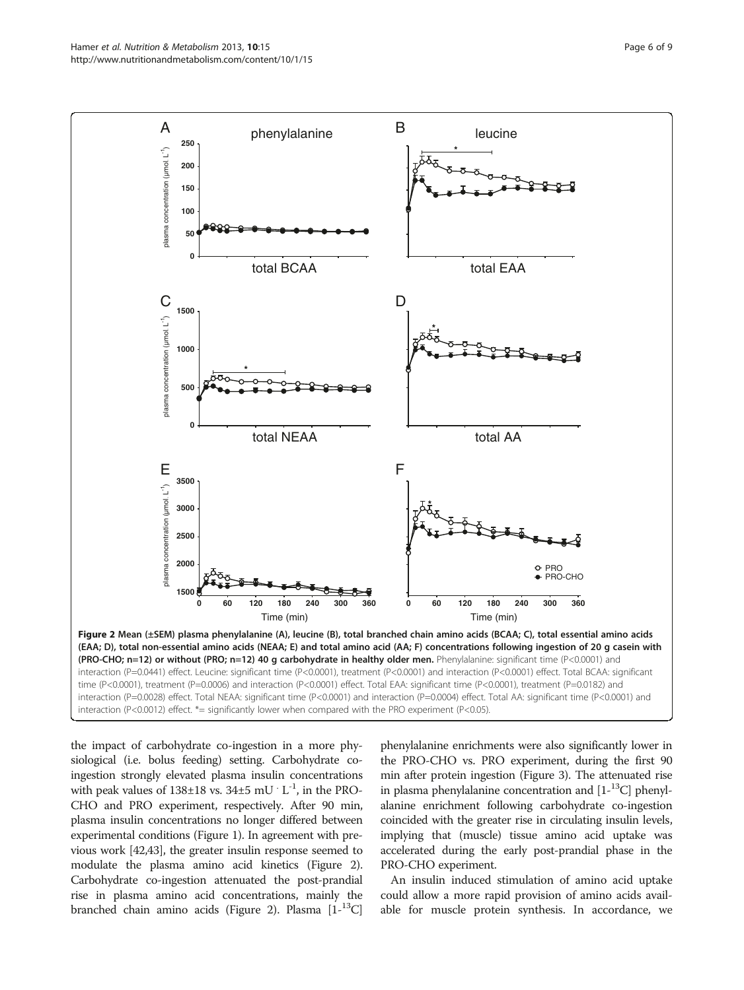<span id="page-5-0"></span>

the impact of carbohydrate co-ingestion in a more physiological (i.e. bolus feeding) setting. Carbohydrate coingestion strongly elevated plasma insulin concentrations with peak values of  $138\pm18$  vs.  $34\pm5$  mU $\cdot$  L<sup>-1</sup>, in the PRO-CHO and PRO experiment, respectively. After 90 min, plasma insulin concentrations no longer differed between experimental conditions (Figure [1\)](#page-4-0). In agreement with previous work [[42,43\]](#page-8-0), the greater insulin response seemed to modulate the plasma amino acid kinetics (Figure 2). Carbohydrate co-ingestion attenuated the post-prandial rise in plasma amino acid concentrations, mainly the branched chain amino acids (Figure 2). Plasma  $[1 - {}^{13}C]$  phenylalanine enrichments were also significantly lower in the PRO-CHO vs. PRO experiment, during the first 90 min after protein ingestion (Figure [3](#page-6-0)). The attenuated rise in plasma phenylalanine concentration and  $[1-{}^{13}C]$  phenylalanine enrichment following carbohydrate co-ingestion coincided with the greater rise in circulating insulin levels, implying that (muscle) tissue amino acid uptake was accelerated during the early post-prandial phase in the PRO-CHO experiment.

An insulin induced stimulation of amino acid uptake could allow a more rapid provision of amino acids available for muscle protein synthesis. In accordance, we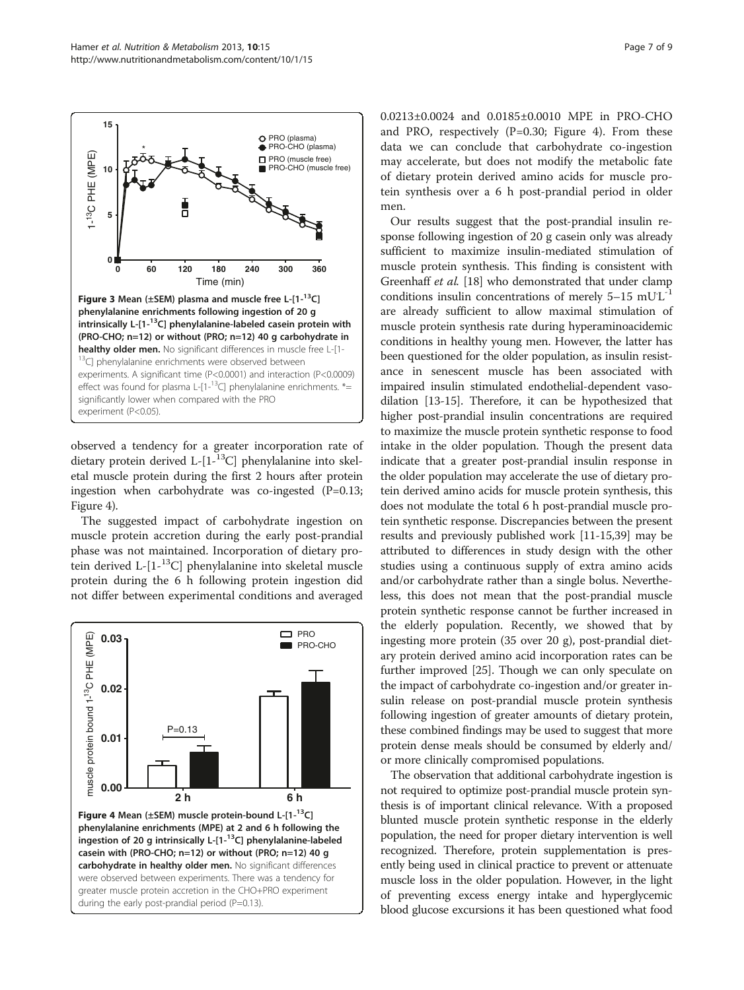<span id="page-6-0"></span>

observed a tendency for a greater incorporation rate of dietary protein derived L- $[1-13C]$  phenylalanine into skeletal muscle protein during the first 2 hours after protein ingestion when carbohydrate was co-ingested (P=0.13; Figure 4).

The suggested impact of carbohydrate ingestion on muscle protein accretion during the early post-prandial phase was not maintained. Incorporation of dietary protein derived L-[1-13C] phenylalanine into skeletal muscle protein during the 6 h following protein ingestion did not differ between experimental conditions and averaged



0.0213±0.0024 and 0.0185±0.0010 MPE in PRO-CHO and PRO, respectively (P=0.30; Figure 4). From these data we can conclude that carbohydrate co-ingestion may accelerate, but does not modify the metabolic fate of dietary protein derived amino acids for muscle protein synthesis over a 6 h post-prandial period in older men.

Our results suggest that the post-prandial insulin response following ingestion of 20 g casein only was already sufficient to maximize insulin-mediated stimulation of muscle protein synthesis. This finding is consistent with Greenhaff et al. [\[18\]](#page-7-0) who demonstrated that under clamp conditions insulin concentrations of merely  $5-15$   $mUL^{-1}$ are already sufficient to allow maximal stimulation of muscle protein synthesis rate during hyperaminoacidemic conditions in healthy young men. However, the latter has been questioned for the older population, as insulin resistance in senescent muscle has been associated with impaired insulin stimulated endothelial-dependent vasodilation [\[13-15\]](#page-7-0). Therefore, it can be hypothesized that higher post-prandial insulin concentrations are required to maximize the muscle protein synthetic response to food intake in the older population. Though the present data indicate that a greater post-prandial insulin response in the older population may accelerate the use of dietary protein derived amino acids for muscle protein synthesis, this does not modulate the total 6 h post-prandial muscle protein synthetic response. Discrepancies between the present results and previously published work [\[11-15](#page-7-0)[,39\]](#page-8-0) may be attributed to differences in study design with the other studies using a continuous supply of extra amino acids and/or carbohydrate rather than a single bolus. Nevertheless, this does not mean that the post-prandial muscle protein synthetic response cannot be further increased in the elderly population. Recently, we showed that by ingesting more protein (35 over 20 g), post-prandial dietary protein derived amino acid incorporation rates can be further improved [\[25\]](#page-7-0). Though we can only speculate on the impact of carbohydrate co-ingestion and/or greater insulin release on post-prandial muscle protein synthesis following ingestion of greater amounts of dietary protein, these combined findings may be used to suggest that more protein dense meals should be consumed by elderly and/ or more clinically compromised populations.

The observation that additional carbohydrate ingestion is not required to optimize post-prandial muscle protein synthesis is of important clinical relevance. With a proposed blunted muscle protein synthetic response in the elderly population, the need for proper dietary intervention is well recognized. Therefore, protein supplementation is presently being used in clinical practice to prevent or attenuate muscle loss in the older population. However, in the light of preventing excess energy intake and hyperglycemic blood glucose excursions it has been questioned what food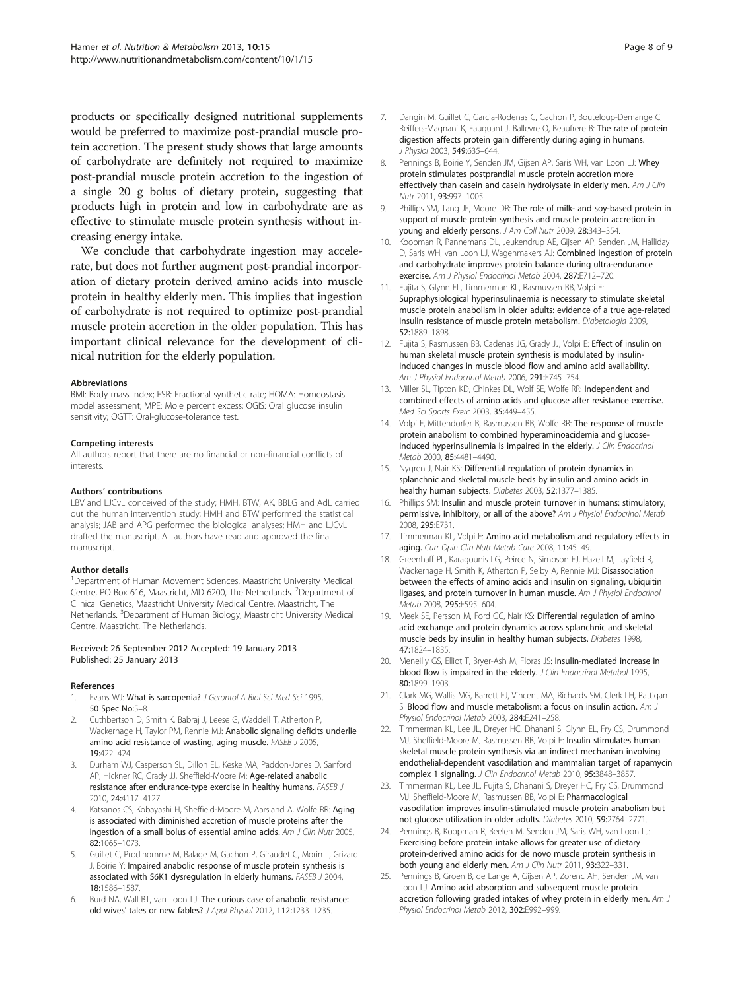<span id="page-7-0"></span>products or specifically designed nutritional supplements would be preferred to maximize post-prandial muscle protein accretion. The present study shows that large amounts of carbohydrate are definitely not required to maximize post-prandial muscle protein accretion to the ingestion of a single 20 g bolus of dietary protein, suggesting that products high in protein and low in carbohydrate are as effective to stimulate muscle protein synthesis without increasing energy intake.

We conclude that carbohydrate ingestion may accelerate, but does not further augment post-prandial incorporation of dietary protein derived amino acids into muscle protein in healthy elderly men. This implies that ingestion of carbohydrate is not required to optimize post-prandial muscle protein accretion in the older population. This has important clinical relevance for the development of clinical nutrition for the elderly population.

#### Abbreviations

BMI: Body mass index; FSR: Fractional synthetic rate; HOMA: Homeostasis model assessment; MPE: Mole percent excess; OGIS: Oral glucose insulin sensitivity; OGTT: Oral-glucose-tolerance test.

#### Competing interests

All authors report that there are no financial or non-financial conflicts of interests.

#### Authors' contributions

LBV and LJCvL conceived of the study; HMH, BTW, AK, BBLG and AdL carried out the human intervention study; HMH and BTW performed the statistical analysis; JAB and APG performed the biological analyses; HMH and LJCvL drafted the manuscript. All authors have read and approved the final manuscript.

#### Author details

<sup>1</sup>Department of Human Movement Sciences, Maastricht University Medical Centre, PO Box 616, Maastricht, MD 6200, The Netherlands. <sup>2</sup>Department of Clinical Genetics, Maastricht University Medical Centre, Maastricht, The Netherlands. <sup>3</sup>Department of Human Biology, Maastricht University Medical Centre, Maastricht, The Netherlands.

#### Received: 26 September 2012 Accepted: 19 January 2013 Published: 25 January 2013

#### References

- Evans WJ: What is sarcopenia? J Gerontol A Biol Sci Med Sci 1995, 50 Spec No:5–8.
- 2. Cuthbertson D, Smith K, Babraj J, Leese G, Waddell T, Atherton P, Wackerhage H, Taylor PM, Rennie MJ: Anabolic signaling deficits underlie amino acid resistance of wasting, aging muscle. FASEB J 2005, 19:422–424.
- 3. Durham WJ, Casperson SL, Dillon EL, Keske MA, Paddon-Jones D, Sanford AP, Hickner RC, Grady JJ, Sheffield-Moore M: Age-related anabolic resistance after endurance-type exercise in healthy humans. FASEB J 2010, 24:4117–4127.
- 4. Katsanos CS, Kobayashi H, Sheffield-Moore M, Aarsland A, Wolfe RR: Aging is associated with diminished accretion of muscle proteins after the ingestion of a small bolus of essential amino acids. Am J Clin Nutr 2005, 82:1065–1073.
- 5. Guillet C, Prod'homme M, Balage M, Gachon P, Giraudet C, Morin L, Grizard J, Boirie Y: Impaired anabolic response of muscle protein synthesis is associated with S6K1 dysregulation in elderly humans. FASEB J 2004, 18:1586–1587.
- 6. Burd NA, Wall BT, van Loon LJ: The curious case of anabolic resistance: old wives' tales or new fables? J Appl Physiol 2012, 112:1233–1235.
- 7. Dangin M, Guillet C, Garcia-Rodenas C, Gachon P, Bouteloup-Demange C, Reiffers-Magnani K, Fauguant J, Ballevre O, Beaufrere B: The rate of protein digestion affects protein gain differently during aging in humans. J Physiol 2003, 549:635–644.
- 8. Pennings B, Boirie Y, Senden JM, Gijsen AP, Saris WH, van Loon LJ: Whey protein stimulates postprandial muscle protein accretion more effectively than casein and casein hydrolysate in elderly men. Am J Clin Nutr 2011, 93:997–1005.
- 9. Phillips SM, Tang JE, Moore DR: The role of milk- and soy-based protein in support of muscle protein synthesis and muscle protein accretion in young and elderly persons. J Am Coll Nutr 2009, 28:343-354.
- 10. Koopman R, Pannemans DL, Jeukendrup AE, Gijsen AP, Senden JM, Halliday D, Saris WH, van Loon LJ, Wagenmakers AJ: Combined ingestion of protein and carbohydrate improves protein balance during ultra-endurance exercise. Am J Physiol Endocrinol Metab 2004, 287:E712–720.
- 11. Fujita S, Glynn EL, Timmerman KL, Rasmussen BB, Volpi E: Supraphysiological hyperinsulinaemia is necessary to stimulate skeletal muscle protein anabolism in older adults: evidence of a true age-related insulin resistance of muscle protein metabolism. Diabetologia 2009, 52:1889–1898.
- 12. Fujita S, Rasmussen BB, Cadenas JG, Grady JJ, Volpi E: Effect of insulin on human skeletal muscle protein synthesis is modulated by insulininduced changes in muscle blood flow and amino acid availability. Am J Physiol Endocrinol Metab 2006, 291:E745–754.
- 13. Miller SL, Tipton KD, Chinkes DL, Wolf SE, Wolfe RR: Independent and combined effects of amino acids and glucose after resistance exercise. Med Sci Sports Exerc 2003, 35:449–455.
- 14. Volpi E, Mittendorfer B, Rasmussen BB, Wolfe RR: The response of muscle protein anabolism to combined hyperaminoacidemia and glucoseinduced hyperinsulinemia is impaired in the elderly. J Clin Endocrinol Metab 2000, 85:4481–4490.
- 15. Nygren J, Nair KS: Differential regulation of protein dynamics in splanchnic and skeletal muscle beds by insulin and amino acids in healthy human subjects. Diabetes 2003, 52:1377–1385.
- 16. Phillips SM: Insulin and muscle protein turnover in humans: stimulatory, permissive, inhibitory, or all of the above? Am J Physiol Endocrinol Metab 2008, 295:E731.
- 17. Timmerman KL, Volpi E: Amino acid metabolism and regulatory effects in aging. Curr Opin Clin Nutr Metab Care 2008, 11:45–49.
- 18. Greenhaff PL, Karagounis LG, Peirce N, Simpson EJ, Hazell M, Layfield R, Wackerhage H, Smith K, Atherton P, Selby A, Rennie MJ: Disassociation between the effects of amino acids and insulin on signaling, ubiquitin ligases, and protein turnover in human muscle. Am J Physiol Endocrinol Metab 2008, 295:E595–604.
- 19. Meek SE, Persson M, Ford GC, Nair KS: Differential regulation of amino acid exchange and protein dynamics across splanchnic and skeletal muscle beds by insulin in healthy human subjects. Diabetes 1998, 47:1824–1835.
- 20. Meneilly GS, Elliot T, Bryer-Ash M, Floras JS: Insulin-mediated increase in blood flow is impaired in the elderly. J Clin Endocrinol Metabol 1995, 80:1899–1903.
- 21. Clark MG, Wallis MG, Barrett EJ, Vincent MA, Richards SM, Clerk LH, Rattigan S: Blood flow and muscle metabolism: a focus on insulin action.  $AmJ$ Physiol Endocrinol Metab 2003, 284:E241–258.
- 22. Timmerman KL, Lee JL, Dreyer HC, Dhanani S, Glynn EL, Fry CS, Drummond MJ, Sheffield-Moore M, Rasmussen BB, Volpi E: Insulin stimulates human skeletal muscle protein synthesis via an indirect mechanism involving endothelial-dependent vasodilation and mammalian target of rapamycin complex 1 signaling. J Clin Endocrinol Metab 2010, 95:3848-3857.
- 23. Timmerman KL, Lee JL, Fujita S, Dhanani S, Dreyer HC, Fry CS, Drummond MJ, Sheffield-Moore M, Rasmussen BB, Volpi E: Pharmacological vasodilation improves insulin-stimulated muscle protein anabolism but not glucose utilization in older adults. Diabetes 2010, 59:2764–2771.
- 24. Pennings B, Koopman R, Beelen M, Senden JM, Saris WH, van Loon LJ: Exercising before protein intake allows for greater use of dietary protein-derived amino acids for de novo muscle protein synthesis in both young and elderly men. Am J Clin Nutr 2011, 93:322-331.
- 25. Pennings B, Groen B, de Lange A, Gijsen AP, Zorenc AH, Senden JM, van Loon LJ: Amino acid absorption and subsequent muscle protein accretion following graded intakes of whey protein in elderly men. Am J Physiol Endocrinol Metab 2012, 302:E992-999.